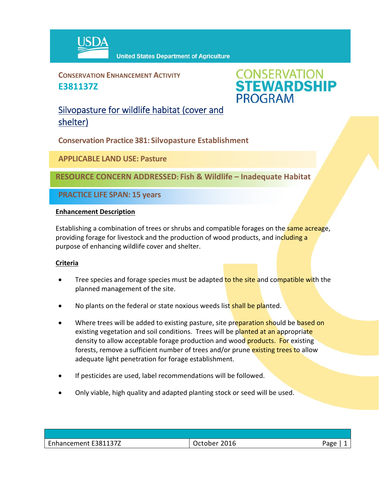

**CONSERVATION ENHANCEMENT ACTIVITY E381137Z**



Silvopasture for wildlife habitat (cover and shelter)

**Conservation Practice 381: Silvopasture Establishment**

**APPLICABLE LAND USE: Pasture**

**RESOURCE CONCERN ADDRESSED: Fish & Wildlife – Inadequate Habitat** 

**PRACTICE LIFE SPAN: 15 years**

## **Enhancement Description**

Establishing a combination of trees or shrubs and compatible forages on the same acreage, providing forage for livestock and the production of wood products, and including a purpose of enhancing wildlife cover and shelter.

## **Criteria**

- Tree species and forage species must be adapted to the site and compatible with the planned management of the site.
- No plants on the federal or state noxious weeds list shall be planted.
- Where trees will be added to existing pasture, site preparation should be based on existing vegetation and soil conditions. Trees will be planted at an appropriate density to allow acceptable forage production and wood **products. For** existing forests, remove a sufficient number of trees and/or prune existing trees to allow adequate light penetration for forage establishment.
- If pesticides are used, label recommendations will be followed.
- Only viable, high quality and adapted planting stock or seed will be used.

| F3811377<br>$\overline{\phantom{0}}$<br>Enhancement | 2016<br>$\Delta P'$ | <b>APP</b><br>ີ |
|-----------------------------------------------------|---------------------|-----------------|